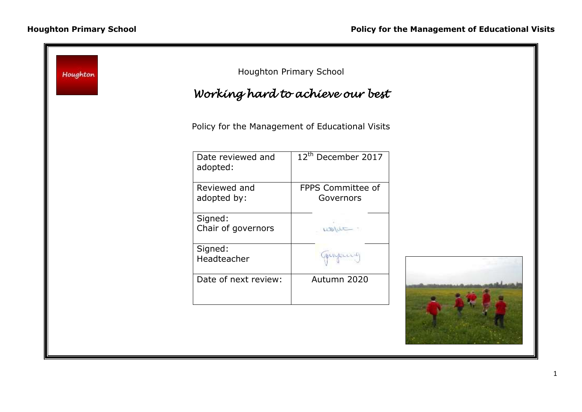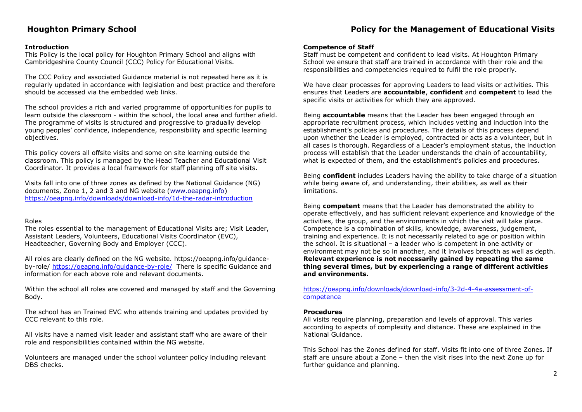# **Houghton Primary School Policy for the Management of Educational Visits**

## **Introduction**

This Policy is the local policy for Houghton Primary School and aligns with Cambridgeshire County Council (CCC) Policy for Educational Visits.

The CCC Policy and associated Guidance material is not repeated here as it is regularly updated in accordance with legislation and best practice and therefore should be accessed via the embedded web links.

The school provides a rich and varied programme of opportunities for pupils to learn outside the classroom - within the school, the local area and further afield. The programme of visits is structured and progressive to gradually develop young peoples' confidence, independence, responsibility and specific learning objectives.

This policy covers all offsite visits and some on site learning outside the classroom. This policy is managed by the Head Teacher and Educational Visit Coordinator. It provides a local framework for staff planning off site visits.

Visits fall into one of three zones as defined by the National Guidance (NG) documents, Zone 1, 2 and 3 and NG website [\(www.oeapng.info\)](http://www.oeapng.info/) <https://oeapng.info/downloads/download-info/1d-the-radar-introduction>

#### Roles

The roles essential to the management of Educational Visits are; Visit Leader, Assistant Leaders, Volunteers, Educational Visits Coordinator (EVC), Headteacher, Governing Body and Employer (CCC).

All roles are clearly defined on the NG website. https://oeapng.info/guidanceby-role/ <https://oeapng.info/guidance-by-role/> There is specific Guidance and information for each above role and relevant documents.

Within the school all roles are covered and managed by staff and the Governing Body.

The school has an Trained EVC who attends training and updates provided by CCC relevant to this role.

All visits have a named visit leader and assistant staff who are aware of their role and responsibilities contained within the NG website.

Volunteers are managed under the school volunteer policy including relevant DBS checks.

#### **Competence of Staff**

Staff must be competent and confident to lead visits. At Houghton Primary School we ensure that staff are trained in accordance with their role and the responsibilities and competencies required to fulfil the role properly.

We have clear processes for approving Leaders to lead visits or activities. This ensures that Leaders are **accountable**, **confident** and **competent** to lead the specific visits or activities for which they are approved.

Being **accountable** means that the Leader has been engaged through an appropriate recruitment process, which includes vetting and induction into the establishment's policies and procedures. The details of this process depend upon whether the Leader is employed, contracted or acts as a volunteer, but in all cases is thorough. Regardless of a Leader's employment status, the induction process will establish that the Leader understands the chain of accountability, what is expected of them, and the establishment's policies and procedures.

Being **confident** includes Leaders having the ability to take charge of a situation while being aware of, and understanding, their abilities, as well as their limitations.

Being **competent** means that the Leader has demonstrated the ability to operate effectively, and has sufficient relevant experience and knowledge of the activities, the group, and the environments in which the visit will take place. Competence is a combination of skills, knowledge, awareness, judgement, training and experience. It is not necessarily related to age or position within the school. It is situational – a leader who is competent in one activity or environment may not be so in another, and it involves breadth as well as depth. **Relevant experience is not necessarily gained by repeating the same thing several times, but by experiencing a range of different activities and environments.**

[https://oeapng.info/downloads/download-info/3-2d-4-4a-assessment-of](https://oeapng.info/downloads/download-info/3-2d-4-4a-assessment-of-competence)[competence](https://oeapng.info/downloads/download-info/3-2d-4-4a-assessment-of-competence)

#### **Procedures**

All visits require planning, preparation and levels of approval. This varies according to aspects of complexity and distance. These are explained in the National Guidance.

This School has the Zones defined for staff. Visits fit into one of three Zones. If staff are unsure about a Zone – then the visit rises into the next Zone up for further guidance and planning.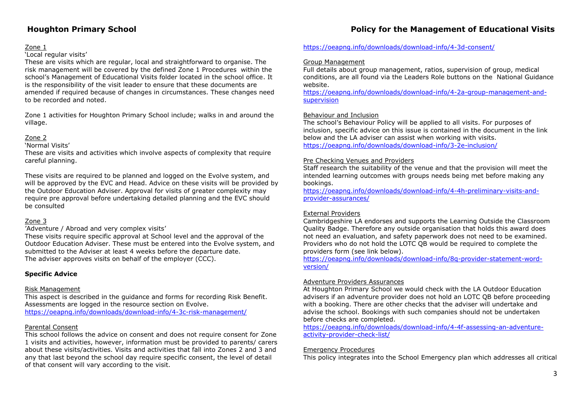### Zone 1

## 'Local regular visits'

These are visits which are regular, local and straightforward to organise. The risk management will be covered by the defined Zone 1 Procedures within the school's Management of Educational Visits folder located in the school office. It is the responsibility of the visit leader to ensure that these documents are amended if required because of changes in circumstances. These changes need to be recorded and noted.

Zone 1 activities for Houghton Primary School include; walks in and around the village.

# Zone 2

'Normal Visits'

These are visits and activities which involve aspects of complexity that require careful planning.

These visits are required to be planned and logged on the Evolve system, and will be approved by the EVC and Head. Advice on these visits will be provided by the Outdoor Education Adviser. Approval for visits of greater complexity may require pre approval before undertaking detailed planning and the EVC should be consulted

# Zone 3

'Adventure / Abroad and very complex visits'

These visits require specific approval at School level and the approval of the Outdoor Education Adviser. These must be entered into the Evolve system, and submitted to the Adviser at least 4 weeks before the departure date. The adviser approves visits on behalf of the employer (CCC).

# **Specific Advice**

### Risk Management

This aspect is described in the guidance and forms for recording Risk Benefit. Assessments are logged in the resource section on Evolve. <https://oeapng.info/downloads/download-info/4-3c-risk-management/>

### Parental Consent

This school follows the advice on consent and does not require consent for Zone 1 visits and activities, however, information must be provided to parents/ carers about these visits/activities. Visits and activities that fall into Zones 2 and 3 and any that last beyond the school day require specific consent, the level of detail of that consent will vary according to the visit.

# **Houghton Primary School Policy for the Management of Educational Visits**

## <https://oeapng.info/downloads/download-info/4-3d-consent/>

### Group Management

Full details about group management, ratios, supervision of group, medical conditions, are all found via the Leaders Role buttons on the National Guidance website.

[https://oeapng.info/downloads/download-info/4-2a-group-management-and](https://oeapng.info/downloads/download-info/4-2a-group-management-and-supervision)[supervision](https://oeapng.info/downloads/download-info/4-2a-group-management-and-supervision)

#### Behaviour and Inclusion

The school's Behaviour Policy will be applied to all visits. For purposes of inclusion, specific advice on this issue is contained in the document in the link below and the LA adviser can assist when working with visits. <https://oeapng.info/downloads/download-info/3-2e-inclusion/>

#### Pre Checking Venues and Providers

Staff research the suitability of the venue and that the provision will meet the intended learning outcomes with groups needs being met before making any bookings.

[https://oeapng.info/downloads/download-info/4-4h-preliminary-visits-and](https://oeapng.info/downloads/download-info/4-4h-preliminary-visits-and-provider-assurances/)[provider-assurances/](https://oeapng.info/downloads/download-info/4-4h-preliminary-visits-and-provider-assurances/)

### External Providers

Cambridgeshire LA endorses and supports the Learning Outside the Classroom Quality Badge. Therefore any outside organisation that holds this award does not need an evaluation, and safety paperwork does not need to be examined. Providers who do not hold the LOTC QB would be required to complete the providers form (see link below).

[https://oeapng.info/downloads/download-info/8q-provider-statement-word](https://oeapng.info/downloads/download-info/8q-provider-statement-word-version/)[version/](https://oeapng.info/downloads/download-info/8q-provider-statement-word-version/)

### Adventure Providers Assurances

At Houghton Primary School we would check with the LA Outdoor Education advisers if an adventure provider does not hold an LOTC QB before proceeding with a booking. There are other checks that the adviser will undertake and advise the school. Bookings with such companies should not be undertaken before checks are completed.

[https://oeapng.info/downloads/download-info/4-4f-assessing-an-adventure](https://oeapng.info/downloads/download-info/4-4f-assessing-an-adventure-activity-provider-check-list/)[activity-provider-check-list/](https://oeapng.info/downloads/download-info/4-4f-assessing-an-adventure-activity-provider-check-list/)

#### Emergency Procedures

This policy integrates into the School Emergency plan which addresses all critical